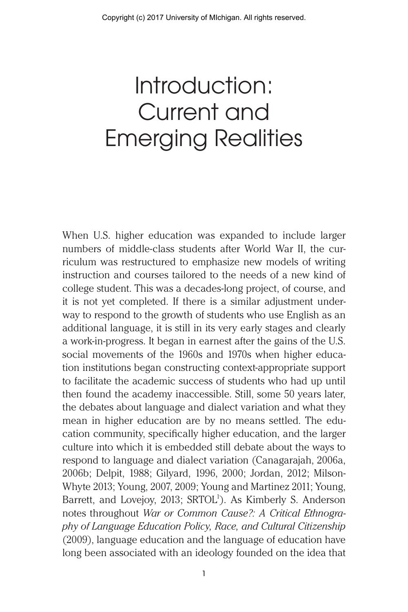## Introduction: Current and Emerging Realities

When U.S. higher education was expanded to include larger numbers of middle-class students after World War II, the curriculum was restructured to emphasize new models of writing instruction and courses tailored to the needs of a new kind of college student. This was a decades-long project, of course, and it is not yet completed. If there is a similar adjustment underway to respond to the growth of students who use English as an additional language, it is still in its very early stages and clearly a work-in-progress. It began in earnest after the gains of the U.S. social movements of the 1960s and 1970s when higher education institutions began constructing context-appropriate support to facilitate the academic success of students who had up until then found the academy inaccessible. Still, some 50 years later, the debates about language and dialect variation and what they mean in higher education are by no means settled. The education community, specifically higher education, and the larger culture into which it is embedded still debate about the ways to respond to language and dialect variation (Canagarajah, 2006a, 2006b; Delpit, 1988; Gilyard, 1996, 2000; Jordan, 2012; Milson-Whyte 2013; Young, 2007, 2009; Young and Martinez 2011; Young, Barrett, and Lovejoy, 2013; SRTOL<sup>1</sup>). As Kimberly S. Anderson notes throughout *War or Common Cause?: A Critical Ethnography of Language Education Policy, Race, and Cultural Citizenship* (2009), language education and the language of education have long been associated with an ideology founded on the idea that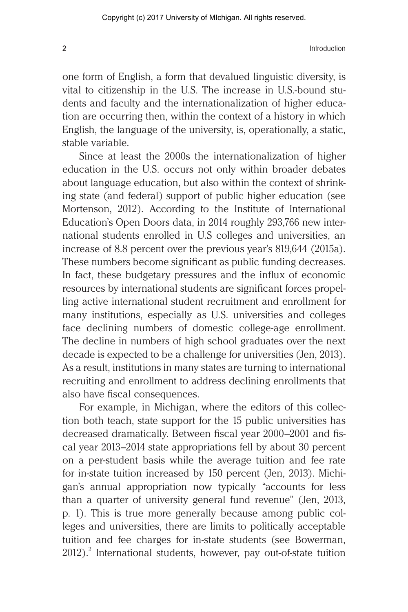**2** Introduction **12** Introduction

one form of English, a form that devalued linguistic diversity, is vital to citizenship in the U.S. The increase in U.S.-bound students and faculty and the internationalization of higher education are occurring then, within the context of a history in which English, the language of the university, is, operationally, a static, stable variable.

Since at least the 2000s the internationalization of higher education in the U.S. occurs not only within broader debates about language education, but also within the context of shrinking state (and federal) support of public higher education (see Mortenson, 2012). According to the Institute of International Education's Open Doors data, in 2014 roughly 293,766 new international students enrolled in U.S colleges and universities, an increase of 8.8 percent over the previous year's 819,644 (2015a). These numbers become significant as public funding decreases. In fact, these budgetary pressures and the influx of economic resources by international students are significant forces propelling active international student recruitment and enrollment for many institutions, especially as U.S. universities and colleges face declining numbers of domestic college-age enrollment. The decline in numbers of high school graduates over the next decade is expected to be a challenge for universities (Jen, 2013). As a result, institutions in many states are turning to international recruiting and enrollment to address declining enrollments that also have fiscal consequences.

For example, in Michigan, where the editors of this collection both teach, state support for the 15 public universities has decreased dramatically. Between fiscal year 2000–2001 and fiscal year 2013–2014 state appropriations fell by about 30 percent on a per-student basis while the average tuition and fee rate for in-state tuition increased by 150 percent (Jen, 2013). Michigan's annual appropriation now typically "accounts for less than a quarter of university general fund revenue" (Jen, 2013, p. 1). This is true more generally because among public colleges and universities, there are limits to politically acceptable tuition and fee charges for in-state students (see Bowerman, 2012).<sup>2</sup> International students, however, pay out-of-state tuition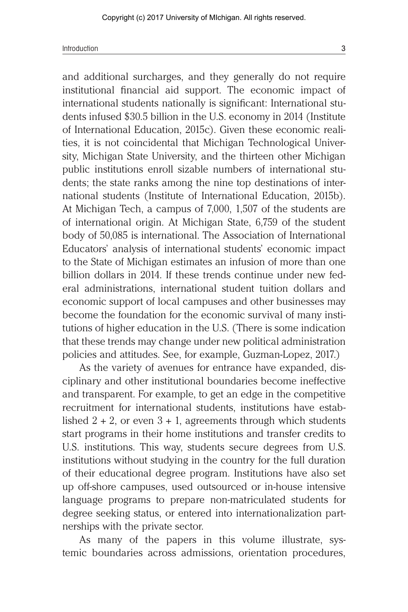and additional surcharges, and they generally do not require institutional financial aid support. The economic impact of international students nationally is significant: International students infused \$30.5 billion in the U.S. economy in 2014 (Institute of International Education, 2015c). Given these economic realities, it is not coincidental that Michigan Technological University, Michigan State University, and the thirteen other Michigan public institutions enroll sizable numbers of international students; the state ranks among the nine top destinations of international students (Institute of International Education, 2015b). At Michigan Tech, a campus of 7,000, 1,507 of the students are of international origin. At Michigan State, 6,759 of the student body of 50,085 is international. The Association of International Educators' analysis of international students' economic impact to the State of Michigan estimates an infusion of more than one billion dollars in 2014. If these trends continue under new federal administrations, international student tuition dollars and economic support of local campuses and other businesses may become the foundation for the economic survival of many institutions of higher education in the U.S. (There is some indication that these trends may change under new political administration policies and attitudes. See, for example, Guzman-Lopez, 2017.)

As the variety of avenues for entrance have expanded, disciplinary and other institutional boundaries become ineffective and transparent. For example, to get an edge in the competitive recruitment for international students, institutions have established  $2 + 2$ , or even  $3 + 1$ , agreements through which students start programs in their home institutions and transfer credits to U.S. institutions. This way, students secure degrees from U.S. institutions without studying in the country for the full duration of their educational degree program. Institutions have also set up off-shore campuses, used outsourced or in-house intensive language programs to prepare non-matriculated students for degree seeking status, or entered into internationalization partnerships with the private sector.

As many of the papers in this volume illustrate, systemic boundaries across admissions, orientation procedures,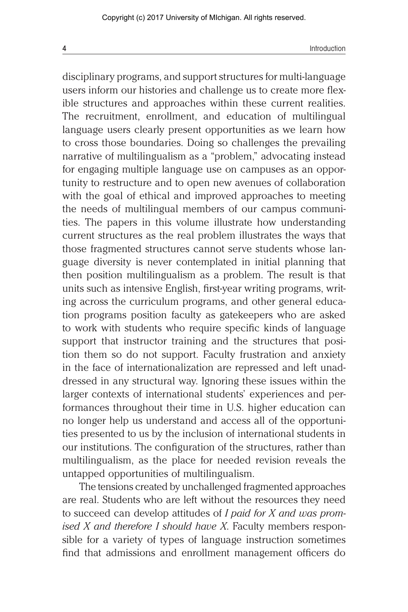disciplinary programs, and support structures for multi-language users inform our histories and challenge us to create more flexible structures and approaches within these current realities. The recruitment, enrollment, and education of multilingual language users clearly present opportunities as we learn how to cross those boundaries. Doing so challenges the prevailing narrative of multilingualism as a "problem," advocating instead for engaging multiple language use on campuses as an opportunity to restructure and to open new avenues of collaboration with the goal of ethical and improved approaches to meeting the needs of multilingual members of our campus communities. The papers in this volume illustrate how understanding current structures as the real problem illustrates the ways that those fragmented structures cannot serve students whose language diversity is never contemplated in initial planning that then position multilingualism as a problem. The result is that units such as intensive English, first-year writing programs, writing across the curriculum programs, and other general education programs position faculty as gatekeepers who are asked to work with students who require specific kinds of language support that instructor training and the structures that position them so do not support. Faculty frustration and anxiety in the face of internationalization are repressed and left unaddressed in any structural way. Ignoring these issues within the larger contexts of international students' experiences and performances throughout their time in U.S. higher education can no longer help us understand and access all of the opportunities presented to us by the inclusion of international students in our institutions. The configuration of the structures, rather than multilingualism, as the place for needed revision reveals the untapped opportunities of multilingualism.

The tensions created by unchallenged fragmented approaches are real. Students who are left without the resources they need to succeed can develop attitudes of *I paid for X and was promised X and therefore I should have X*. Faculty members responsible for a variety of types of language instruction sometimes find that admissions and enrollment management officers do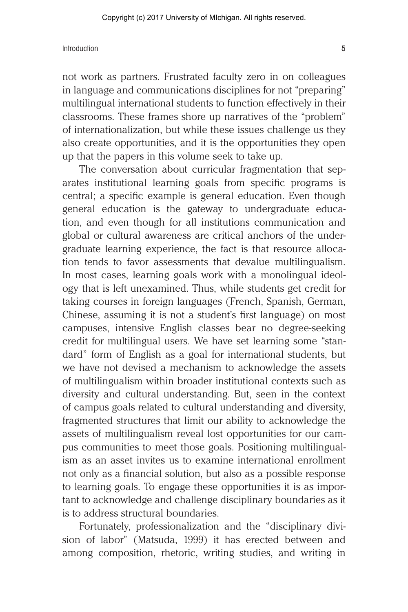not work as partners. Frustrated faculty zero in on colleagues in language and communications disciplines for not "preparing" multilingual international students to function effectively in their classrooms. These frames shore up narratives of the "problem" of internationalization, but while these issues challenge us they also create opportunities, and it is the opportunities they open up that the papers in this volume seek to take up.

The conversation about curricular fragmentation that separates institutional learning goals from specific programs is central; a specific example is general education. Even though general education is the gateway to undergraduate education, and even though for all institutions communication and global or cultural awareness are critical anchors of the undergraduate learning experience, the fact is that resource allocation tends to favor assessments that devalue multilingualism. In most cases, learning goals work with a monolingual ideology that is left unexamined. Thus, while students get credit for taking courses in foreign languages (French, Spanish, German, Chinese, assuming it is not a student's first language) on most campuses, intensive English classes bear no degree-seeking credit for multilingual users. We have set learning some "standard" form of English as a goal for international students, but we have not devised a mechanism to acknowledge the assets of multilingualism within broader institutional contexts such as diversity and cultural understanding. But, seen in the context of campus goals related to cultural understanding and diversity, fragmented structures that limit our ability to acknowledge the assets of multilingualism reveal lost opportunities for our campus communities to meet those goals. Positioning multilingualism as an asset invites us to examine international enrollment not only as a financial solution, but also as a possible response to learning goals. To engage these opportunities it is as important to acknowledge and challenge disciplinary boundaries as it is to address structural boundaries.

Fortunately, professionalization and the "disciplinary division of labor" (Matsuda, 1999) it has erected between and among composition, rhetoric, writing studies, and writing in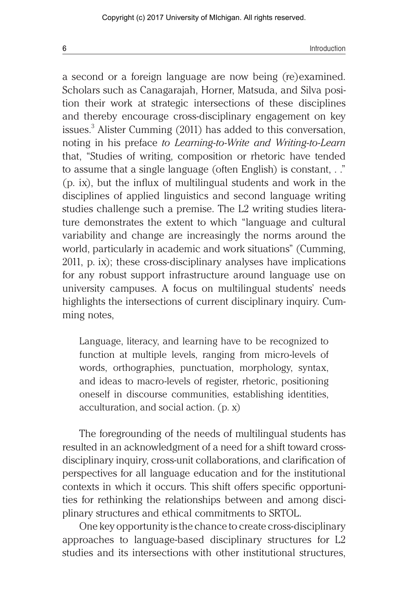a second or a foreign language are now being (re)examined. Scholars such as Canagarajah, Horner, Matsuda, and Silva position their work at strategic intersections of these disciplines and thereby encourage cross-disciplinary engagement on key issues.<sup>3</sup> Alister Cumming (2011) has added to this conversation, noting in his preface *to Learning-to-Write and Writing-to-Learn* that, "Studies of writing, composition or rhetoric have tended to assume that a single language (often English) is constant, . ." (p. ix), but the influx of multilingual students and work in the disciplines of applied linguistics and second language writing studies challenge such a premise. The L2 writing studies literature demonstrates the extent to which "language and cultural variability and change are increasingly the norms around the world, particularly in academic and work situations" (Cumming, 2011, p. ix); these cross-disciplinary analyses have implications for any robust support infrastructure around language use on university campuses. A focus on multilingual students' needs highlights the intersections of current disciplinary inquiry. Cumming notes,

Language, literacy, and learning have to be recognized to function at multiple levels, ranging from micro-levels of words, orthographies, punctuation, morphology, syntax, and ideas to macro-levels of register, rhetoric, positioning oneself in discourse communities, establishing identities, acculturation, and social action. (p. x)

The foregrounding of the needs of multilingual students has resulted in an acknowledgment of a need for a shift toward crossdisciplinary inquiry, cross-unit collaborations, and clarification of perspectives for all language education and for the institutional contexts in which it occurs. This shift offers specific opportunities for rethinking the relationships between and among disciplinary structures and ethical commitments to SRTOL.

One key opportunity is the chance to create cross-disciplinary approaches to language-based disciplinary structures for L2 studies and its intersections with other institutional structures,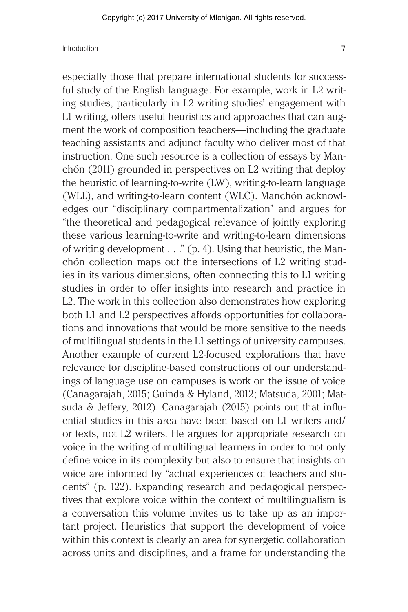especially those that prepare international students for successful study of the English language. For example, work in L2 writing studies, particularly in L2 writing studies' engagement with L1 writing, offers useful heuristics and approaches that can augment the work of composition teachers—including the graduate teaching assistants and adjunct faculty who deliver most of that instruction. One such resource is a collection of essays by Manchón (2011) grounded in perspectives on L2 writing that deploy the heuristic of learning-to-write (LW), writing-to-learn language (WLL), and writing-to-learn content (WLC). Manchón acknowledges our "disciplinary compartmentalization" and argues for "the theoretical and pedagogical relevance of jointly exploring these various learning-to-write and writing-to-learn dimensions of writing development . . ." (p. 4). Using that heuristic, the Manchón collection maps out the intersections of L2 writing studies in its various dimensions, often connecting this to L1 writing studies in order to offer insights into research and practice in L2. The work in this collection also demonstrates how exploring both L1 and L2 perspectives affords opportunities for collaborations and innovations that would be more sensitive to the needs of multilingual students in the L1 settings of university campuses. Another example of current L2-focused explorations that have relevance for discipline-based constructions of our understandings of language use on campuses is work on the issue of voice (Canagarajah, 2015; Guinda & Hyland, 2012; Matsuda, 2001; Matsuda & Jeffery, 2012). Canagarajah (2015) points out that influential studies in this area have been based on L1 writers and/ or texts, not L2 writers. He argues for appropriate research on voice in the writing of multilingual learners in order to not only define voice in its complexity but also to ensure that insights on voice are informed by "actual experiences of teachers and students" (p. 122). Expanding research and pedagogical perspectives that explore voice within the context of multilingualism is a conversation this volume invites us to take up as an important project. Heuristics that support the development of voice within this context is clearly an area for synergetic collaboration across units and disciplines, and a frame for understanding the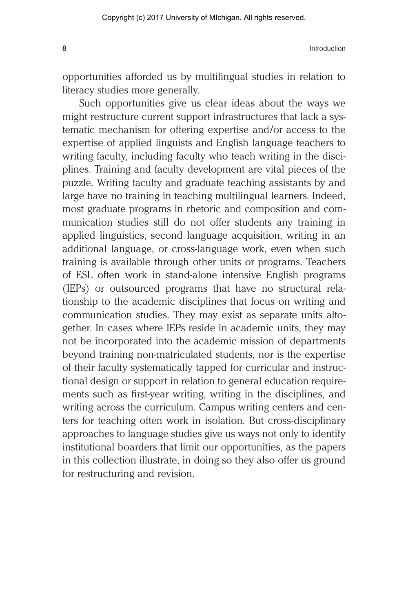8 Introduction and the contract of the contract of the contract of the contract of the contract of the contract of the contract of the contract of the contract of the contract of the contract of the contract of the contrac

opportunities afforded us by multilingual studies in relation to literacy studies more generally.

Such opportunities give us clear ideas about the ways we might restructure current support infrastructures that lack a systematic mechanism for offering expertise and/or access to the expertise of applied linguists and English language teachers to writing faculty, including faculty who teach writing in the disciplines. Training and faculty development are vital pieces of the puzzle. Writing faculty and graduate teaching assistants by and large have no training in teaching multilingual learners. Indeed, most graduate programs in rhetoric and composition and communication studies still do not offer students any training in applied linguistics, second language acquisition, writing in an additional language, or cross-language work, even when such training is available through other units or programs. Teachers of ESL often work in stand-alone intensive English programs (IEPs) or outsourced programs that have no structural relationship to the academic disciplines that focus on writing and communication studies. They may exist as separate units altogether. In cases where IEPs reside in academic units, they may not be incorporated into the academic mission of departments beyond training non-matriculated students, nor is the expertise of their faculty systematically tapped for curricular and instructional design or support in relation to general education requirements such as first-year writing, writing in the disciplines, and writing across the curriculum. Campus writing centers and centers for teaching often work in isolation. But cross-disciplinary approaches to language studies give us ways not only to identify institutional boarders that limit our opportunities, as the papers in this collection illustrate, in doing so they also offer us ground for restructuring and revision.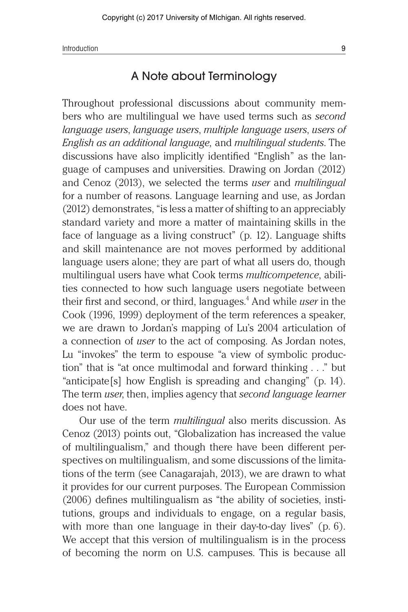Introduction 9

## A Note about Terminology

Throughout professional discussions about community members who are multilingual we have used terms such as *second language users*, *language users*, *multiple language users*, *users of English as an additional language,* and *multilingual students*. The discussions have also implicitly identified "English" as the language of campuses and universities. Drawing on Jordan (2012) and Cenoz (2013), we selected the terms *user* and *multilingual* for a number of reasons. Language learning and use, as Jordan (2012) demonstrates, "is less a matter of shifting to an appreciably standard variety and more a matter of maintaining skills in the face of language as a living construct" (p. 12). Language shifts and skill maintenance are not moves performed by additional language users alone; they are part of what all users do, though multilingual users have what Cook terms *multicompetence*, abilities connected to how such language users negotiate between their first and second, or third, languages.<sup>4</sup> And while *user* in the Cook (1996, 1999) deployment of the term references a speaker, we are drawn to Jordan's mapping of Lu's 2004 articulation of a connection of *user* to the act of composing. As Jordan notes, Lu "invokes" the term to espouse "a view of symbolic production" that is "at once multimodal and forward thinking . . ." but "anticipate[s] how English is spreading and changing" (p. 14). The term *user*, then, implies agency that *second language learner* does not have.

Our use of the term *multilingual* also merits discussion. As Cenoz (2013) points out, "Globalization has increased the value of multilingualism," and though there have been different perspectives on multilingualism, and some discussions of the limitations of the term (see Canagarajah, 2013), we are drawn to what it provides for our current purposes. The European Commission (2006) defines multilingualism as "the ability of societies, institutions, groups and individuals to engage, on a regular basis, with more than one language in their day-to-day lives" (p. 6). We accept that this version of multilingualism is in the process of becoming the norm on U.S. campuses. This is because all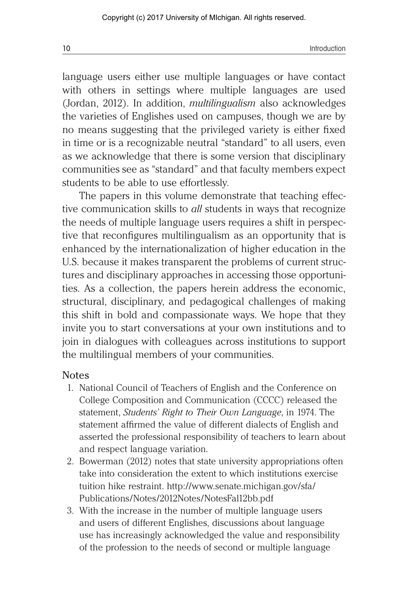language users either use multiple languages or have contact with others in settings where multiple languages are used (Jordan, 2012). In addition, *multilingualism* also acknowledges the varieties of Englishes used on campuses, though we are by no means suggesting that the privileged variety is either fixed in time or is a recognizable neutral "standard" to all users, even as we acknowledge that there is some version that disciplinary communities see as "standard" and that faculty members expect students to be able to use effortlessly.

The papers in this volume demonstrate that teaching effective communication skills to *all* students in ways that recognize the needs of multiple language users requires a shift in perspective that reconfigures multilingualism as an opportunity that is enhanced by the internationalization of higher education in the U.S. because it makes transparent the problems of current structures and disciplinary approaches in accessing those opportunities. As a collection, the papers herein address the economic, structural, disciplinary, and pedagogical challenges of making this shift in bold and compassionate ways. We hope that they invite you to start conversations at your own institutions and to join in dialogues with colleagues across institutions to support the multilingual members of your communities.

## Notes

- 1. National Council of Teachers of English and the Conference on College Composition and Communication (CCCC) released the statement, *Students' Right to Their Own Language*, in 1974. The statement affirmed the value of different dialects of English and asserted the professional responsibility of teachers to learn about and respect language variation.
- 2. Bowerman (2012) notes that state university appropriations often take into consideration the extent to which institutions exercise tuition hike restraint. http://www.senate.michigan.gov/sfa/ Publications/Notes/2012Notes/NotesFal12bb.pdf
- 3. With the increase in the number of multiple language users and users of different Englishes, discussions about language use has increasingly acknowledged the value and responsibility of the profession to the needs of second or multiple language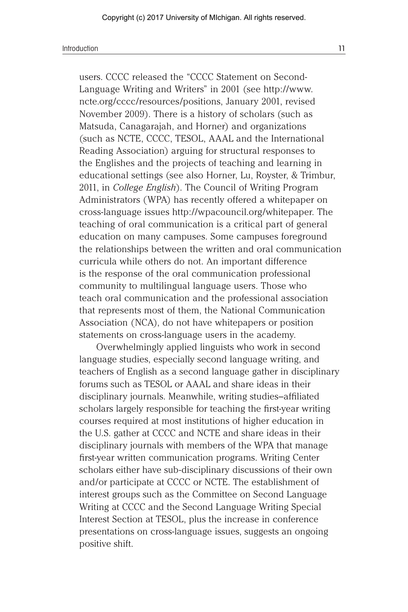users. CCCC released the "CCCC Statement on Second-Language Writing and Writers" in 2001 (see http://www. ncte.org/cccc/resources/positions, January 2001, revised November 2009). There is a history of scholars (such as Matsuda, Canagarajah, and Horner) and organizations (such as NCTE, CCCC, TESOL, AAAL and the International Reading Association) arguing for structural responses to the Englishes and the projects of teaching and learning in educational settings (see also Horner, Lu, Royster, & Trimbur, 2011, in *College English*). The Council of Writing Program Administrators (WPA) has recently offered a whitepaper on cross-language issues http://wpacouncil.org/whitepaper. The teaching of oral communication is a critical part of general education on many campuses. Some campuses foreground the relationships between the written and oral communication curricula while others do not. An important difference is the response of the oral communication professional community to multilingual language users. Those who teach oral communication and the professional association that represents most of them, the National Communication Association (NCA), do not have whitepapers or position statements on cross-language users in the academy.

Overwhelmingly applied linguists who work in second language studies, especially second language writing, and teachers of English as a second language gather in disciplinary forums such as TESOL or AAAL and share ideas in their disciplinary journals. Meanwhile, writing studies–affiliated scholars largely responsible for teaching the first-year writing courses required at most institutions of higher education in the U.S. gather at CCCC and NCTE and share ideas in their disciplinary journals with members of the WPA that manage first-year written communication programs. Writing Center scholars either have sub-disciplinary discussions of their own and/or participate at CCCC or NCTE. The establishment of interest groups such as the Committee on Second Language Writing at CCCC and the Second Language Writing Special Interest Section at TESOL, plus the increase in conference presentations on cross-language issues, suggests an ongoing positive shift.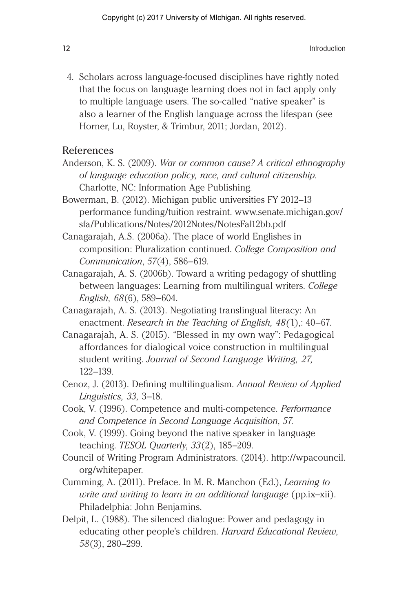4. Scholars across language-focused disciplines have rightly noted that the focus on language learning does not in fact apply only to multiple language users. The so-called "native speaker" is also a learner of the English language across the lifespan (see Horner, Lu, Royster, & Trimbur, 2011; Jordan, 2012).

## References

- Anderson, K. S. (2009). *War or common cause? A critical ethnography of language education policy, race, and cultural citizenship.*  Charlotte, NC: Information Age Publishing*.*
- Bowerman, B. (2012). Michigan public universities FY 2012–13 performance funding/tuition restraint. www.senate.michigan.gov/ sfa/Publications/Notes/2012Notes/NotesFal12bb.pdf
- Canagarajah, A.S. (2006a). The place of world Englishes in composition: Pluralization continued. *College Composition and Communication*, *57*(4), 586–619.
- Canagarajah, A. S. (2006b). Toward a writing pedagogy of shuttling between languages: Learning from multilingual writers. *College English, 68*(6), 589–604.
- Canagarajah, A. S. (2013). Negotiating translingual literacy: An enactment. *Research in the Teaching of English, 48(*1),: 40–67.
- Canagarajah, A. S. (2015). "Blessed in my own way": Pedagogical affordances for dialogical voice construction in multilingual student writing. *Journal of Second Language Writing, 27,*  122–139.
- Cenoz, J. (2013). Defining multilingualism. *Annual Review of Applied Linguistics, 33,* 3–18.
- Cook, V. (1996). Competence and multi-competence. *Performance and Competence in Second Language Acquisition*, *57.*
- Cook, V. (1999). Going beyond the native speaker in language teaching. *TESOL Quarterly*, *33*(2), 185–209.
- Council of Writing Program Administrators. (2014). http://wpacouncil. org/whitepaper.
- Cumming, A. (2011). Preface. In M. R. Manchon (Ed.), *Learning to write and writing to learn in an additional language* (pp.ix–xii). Philadelphia: John Benjamins.
- Delpit, L. (1988). The silenced dialogue: Power and pedagogy in educating other people's children. *Harvard Educational Review*, *58*(3), 280–299.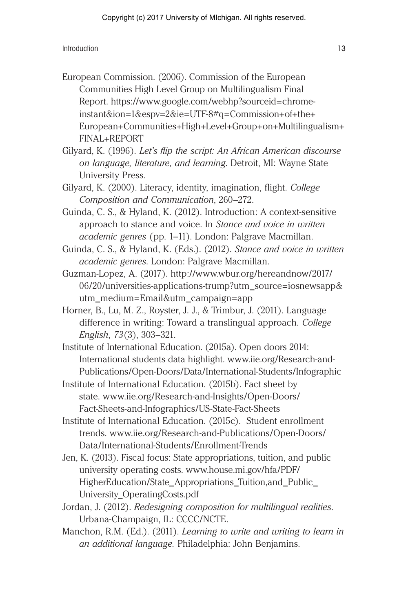European Commission. (2006). Commission of the European Communities High Level Group on Multilingualism Final Report. https://www.google.com/webhp?sourceid=chromeinstant&ion=1&espv=2&ie=UTF-8#q=Commission+of+the+ European+Communities+High+Level+Group+on+Multilingualism+ FINAL+REPORT

Gilyard, K. (1996). *Let's flip the script: An African American discourse on language, literature, and learning*. Detroit, MI: Wayne State University Press.

Guinda, C. S., & Hyland, K. (2012). Introduction: A context-sensitive approach to stance and voice. In *Stance and voice in written academic genres* (pp. 1–11). London: Palgrave Macmillan.

Guinda, C. S., & Hyland, K. (Eds.). (2012). *Stance and voice in written academic genres*. London: Palgrave Macmillan.

Guzman-Lopez, A. (2017). http://www.wbur.org/hereandnow/2017/ 06/20/universities-applications-trump?utm\_source=iosnewsapp& utm\_medium=Email&utm\_campaign=app

Horner, B., Lu, M. Z., Royster, J. J., & Trimbur, J. (2011). Language difference in writing: Toward a translingual approach. *College English*, *73*(3), 303–321.

Institute of International Education. (2015a). Open doors 2014: International students data highlight. www.iie.org/Research-and-Publications/Open-Doors/Data/International-Students/Infographic

- Institute of International Education. (2015b). Fact sheet by state. www.iie.org/Research-and-Insights/Open-Doors/ Fact-Sheets-and-Infographics/US-State-Fact-Sheets
- Institute of International Education. (2015c). Student enrollment trends. www.iie.org/Research-and-Publications/Open-Doors/ Data/International-Students/Enrollment-Trends
- Jen, K. (2013). Fiscal focus: State appropriations, tuition, and public university operating costs. www.house.mi.gov/hfa/PDF/ HigherEducation/State\_Appropriations\_Tuition,and\_Public\_ University\_OperatingCosts.pdf
- Jordan, J. (2012). *Redesigning composition for multilingual realities*. Urbana-Champaign, IL: CCCC/NCTE.
- Manchon, R.M. (Ed.). (2011). *Learning to write and writing to learn in an additional language.* Philadelphia: John Benjamins.

Gilyard, K. (2000). Literacy, identity, imagination, flight. *College Composition and Communication*, 260–272.